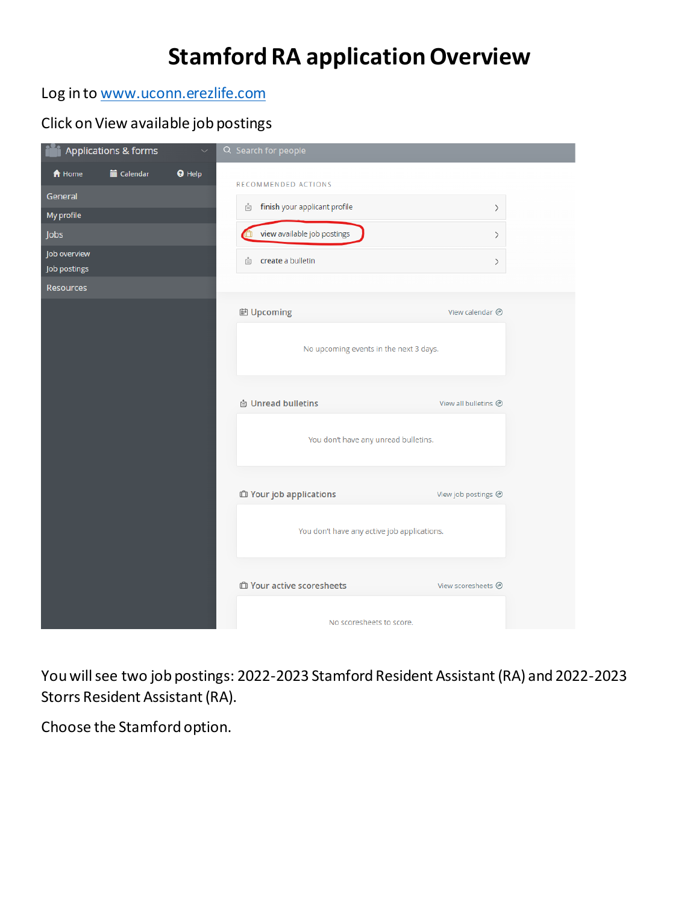# **Stamford RA application Overview**

## Log in to [www.uconn.erezlife.com](http://www.uconn.erezlife.com/)

## Click on View available job postings

| Applications & forms<br>$\checkmark$                | Q Search for people                                 |                           |  |
|-----------------------------------------------------|-----------------------------------------------------|---------------------------|--|
| <b>O</b> Help<br><b>■ Calendar</b><br><b>A</b> Home | RECOMMENDED ACTIONS                                 |                           |  |
| General                                             | finish your applicant profile<br>Ů                  |                           |  |
| My profile                                          |                                                     | $\,$                      |  |
| Jobs                                                | view available job postings                         | $\,$                      |  |
| Job overview<br>Job postings                        | create a bulletin<br>⊟                              | $\,$                      |  |
| <b>Resources</b>                                    |                                                     |                           |  |
|                                                     | <b>iii</b> Upcoming                                 | View calendar <sup></sup> |  |
|                                                     |                                                     |                           |  |
|                                                     | No upcoming events in the next 3 days.              |                           |  |
|                                                     |                                                     |                           |  |
|                                                     | <b><i>A</i></b> Unread bulletins                    | View all bulletins @      |  |
|                                                     |                                                     |                           |  |
|                                                     | You don't have any unread bulletins.                |                           |  |
|                                                     |                                                     |                           |  |
|                                                     | <b><i><u><b>i</b></u></i></b> Your job applications | View job postings @       |  |
|                                                     |                                                     |                           |  |
|                                                     | You don't have any active job applications.         |                           |  |
|                                                     |                                                     |                           |  |
|                                                     | <b><i><u>O</u></i></b> Your active scoresheets      | View scoresheets @        |  |
|                                                     |                                                     |                           |  |
|                                                     | No scoresheets to score.                            |                           |  |

You will see two job postings: 2022-2023 Stamford Resident Assistant (RA) and 2022-2023 Storrs Resident Assistant (RA).

Choose the Stamford option.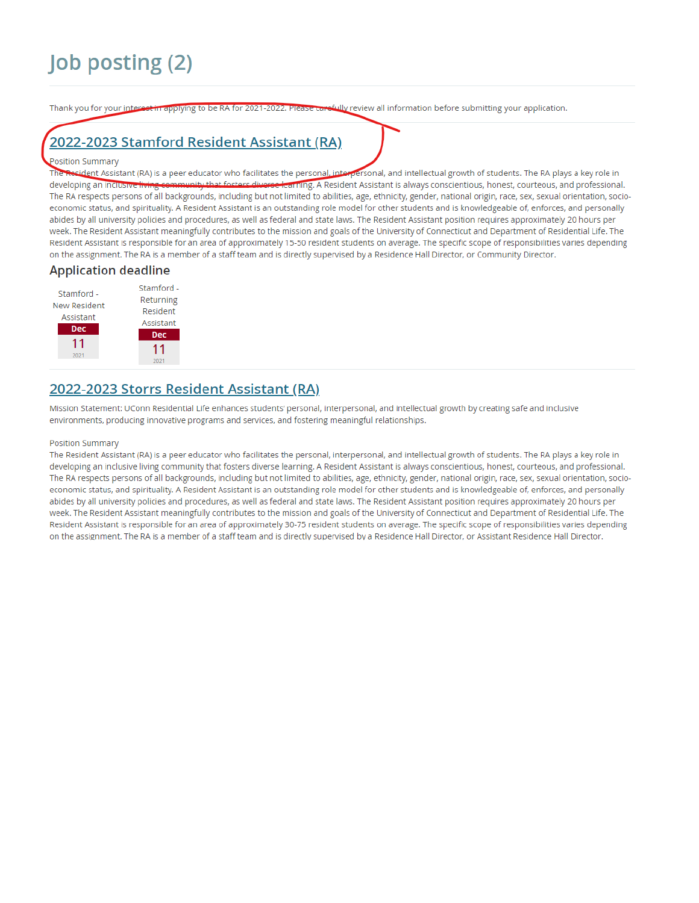Thank you for your interest in applying to be RA for 2021-2022. Please carefully review all information before submitting your application.

# 2022-2023 Stamford Resident Assistant (RA)

### Position Summary

The Resident Assistant (RA) is a peer educator who facilitates the personal, interpersonal, and intellectual growth of students. The RA plays a key role in aity that foste rs diverse learning. A Resident Assistant is always conscientious, honest, courteous, and professional. developing an inclusive i The RA respects persons of all backgrounds, including but not limited to abilities, age, ethnicity, gender, national origin, race, sex, sexual orientation, socioeconomic status, and spirituality. A Resident Assistant is an outstanding role model for other students and is knowledgeable of, enforces, and personally abides by all university policies and procedures, as well as federal and state laws. The Resident Assistant position requires approximately 20 hours per week. The Resident Assistant meaningfully contributes to the mission and goals of the University of Connecticut and Department of Residential Life. The Resident Assistant is responsible for an area of approximately 15-50 resident students on average. The specific scope of responsibilities varies depending on the assignment. The RA is a member of a staff team and is directly supervised by a Residence Hall Director, or Community Director.

### **Application deadline**



## 2022-2023 Storrs Resident Assistant (RA)

Mission Statement: UConn Residential Life enhances students' personal, interpersonal, and intellectual growth by creating safe and inclusive environments, producing innovative programs and services, and fostering meaningful relationships.

#### Position Summary

The Resident Assistant (RA) is a peer educator who facilitates the personal, interpersonal, and intellectual growth of students. The RA plays a key role in developing an inclusive living community that fosters diverse learning. A Resident Assistant is always conscientious, honest, courteous, and professional. The RA respects persons of all backgrounds, including but not limited to abilities, age, ethnicity, gender, national origin, race, sex, sexual orientation, socioeconomic status, and spirituality. A Resident Assistant is an outstanding role model for other students and is knowledgeable of, enforces, and personally abides by all university policies and procedures, as well as federal and state laws. The Resident Assistant position requires approximately 20 hours per week. The Resident Assistant meaningfully contributes to the mission and goals of the University of Connecticut and Department of Residential Life. The Resident Assistant is responsible for an area of approximately 30-75 resident students on average. The specific scope of responsibilities varies depending on the assignment. The RA is a member of a staff team and is directly supervised by a Residence Hall Director, or Assistant Residence Hall Director.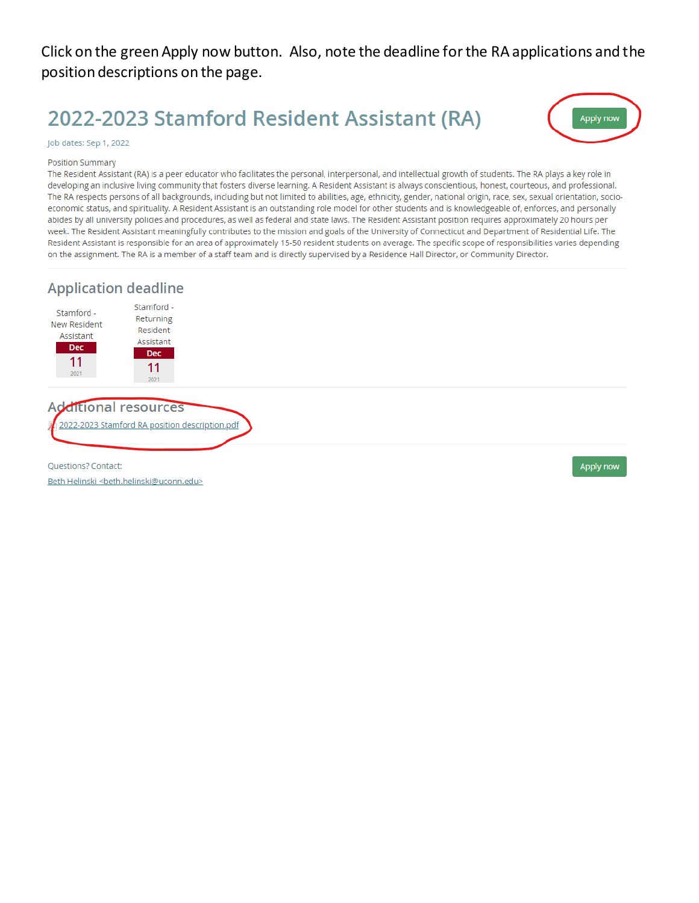## Click on the green Apply now button. Also, note the deadline for the RA applications and the position descriptions on the page.

# 2022-2023 Stamford Resident Assistant (RA)



### Job dates: Sep 1, 2022

#### **Position Summary**

The Resident Assistant (RA) is a peer educator who facilitates the personal, interpersonal, and intellectual growth of students. The RA plays a key role in developing an inclusive living community that fosters diverse learning. A Resident Assistant is always conscientious, honest, courteous, and professional. The RA respects persons of all backgrounds, including but not limited to abilities, age, ethnicity, gender, national origin, race, sex, sexual orientation, socioeconomic status, and spirituality. A Resident Assistant is an outstanding role model for other students and is knowledgeable of, enforces, and personally abides by all university policies and procedures, as well as federal and state laws. The Resident Assistant position requires approximately 20 hours per week. The Resident Assistant meaningfully contributes to the mission and goals of the University of Connecticut and Department of Residential Life. The Resident Assistant is responsible for an area of approximately 15-50 resident students on average. The specific scope of responsibilities varies depending on the assignment. The RA is a member of a staff team and is directly supervised by a Residence Hall Director, or Community Director.

### **Application deadline**



## **Additional resources**

2022-2023 Stamford RA position description.pdf

Questions? Contact:

Beth Helinski <beth.helinski@uconn.edu>

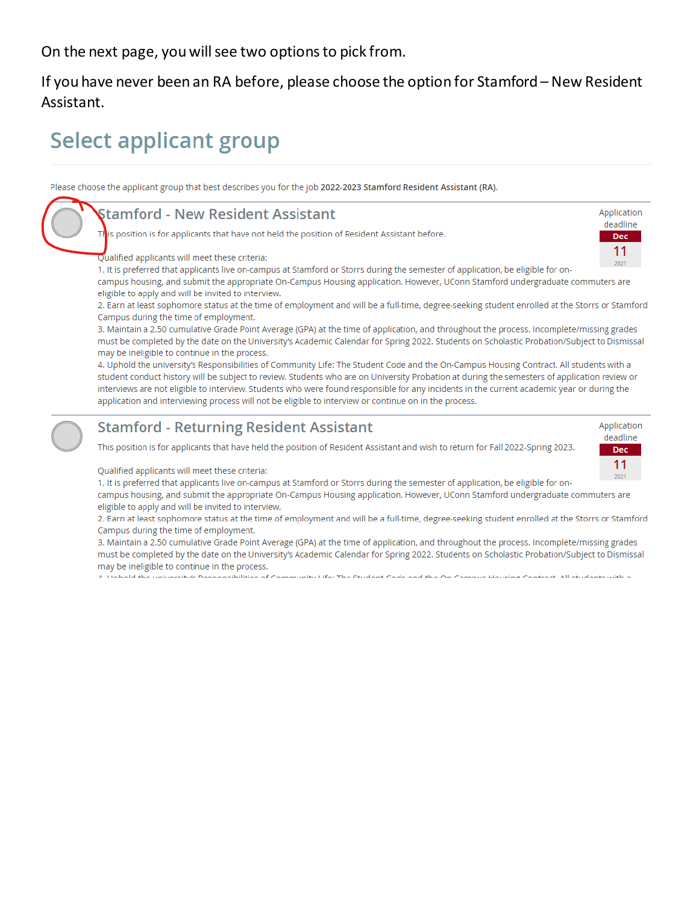On the next page, you will see two options to pick from.

If you have never been an RA before, please choose the option for Stamford - New Resident Assistant.

# **Select applicant group**

Please choose the applicant group that best describes you for the job 2022-2023 Stamford Resident Assistant (RA).

| <b>Stamford - New Resident Assistant</b>                                                                                                                                                                                                                         |                  |
|------------------------------------------------------------------------------------------------------------------------------------------------------------------------------------------------------------------------------------------------------------------|------------------|
| This position is for applicants that have not held the position of Resident Assistant before.                                                                                                                                                                    | deadline<br>Dec: |
| Qualified applicants will meet these criteria:                                                                                                                                                                                                                   | 11<br>2021       |
| 1. It is preferred that applicants live on-campus at Stamford or Storrs during the semester of application, be eligible for on-<br>campus housing, and submit the appropriate On-Campus Housing application. However, UConn Stamford undergraduate commuters are |                  |
| eligible to apply and will be invited to interview.                                                                                                                                                                                                              |                  |
| 2. Earn at least sophomore status at the time of employment and will be a full-time, degree-seeking student enrolled at the Storrs or Stamford                                                                                                                   |                  |

Campus during the time of employment.

3. Maintain a 2.50 cumulative Grade Point Average (GPA) at the time of application, and throughout the process. Incomplete/missing grades must be completed by the date on the University's Academic Calendar for Spring 2022. Students on Scholastic Probation/Subject to Dismissal may be ineligible to continue in the process.

4. Uphold the university's Responsibilities of Community Life: The Student Code and the On-Campus Housing Contract. All students with a student conduct history will be subject to review. Students who are on University Probation at during the semesters of application review or interviews are not eligible to interview. Students who were found responsible for any incidents in the current academic year or during the application and interviewing process will not be eligible to interview or continue on in the process.

## **Stamford - Returning Resident Assistant**

This position is for applicants that have held the position of Resident Assistant and wish to return for Fall 2022-Spring 2023.



Qualified applicants will meet these criteria:

1. It is preferred that applicants live on-campus at Stamford or Storrs during the semester of application, be eligible for on-

campus housing, and submit the appropriate On-Campus Housing application. However, UConn Stamford undergraduate commuters are eligible to apply and will be invited to interview.

2. Earn at least sophomore status at the time of employment and will be a full-time, degree-seeking student enrolled at the Storrs or Stamford Campus during the time of employment.

3. Maintain a 2.50 cumulative Grade Point Average (GPA) at the time of application, and throughout the process. Incomplete/missing grades must be completed by the date on the University's Academic Calendar for Spring 2022. Students on Scholastic Probation/Subject to Dismissal may be ineligible to continue in the process.

4. Unhold the university's Demonsibilities of Community Life: The Student Code and the On Campus Housing Contrast. All students with a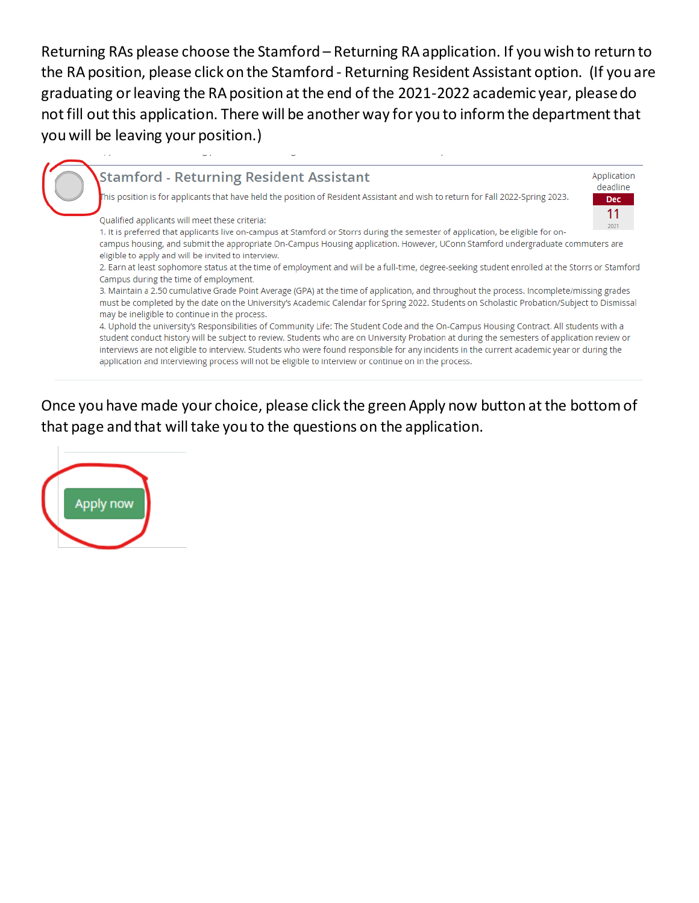Returning RAs please choose the Stamford - Returning RA application. If you wish to return to the RA position, please click on the Stamford - Returning Resident Assistant option. (If you are graduating or leaving the RA position at the end of the 2021-2022 academic year, please do not fill out this application. There will be another way for you to inform the department that you will be leaving your position.)

## **Stamford - Returning Resident Assistant**

.<br>This position is for applicants that have held the position of Resident Assistant and wish to return for Fall 2022-Spring 2023.

### Qualified applicants will meet these criteria:

1. It is preferred that applicants live on-campus at Stamford or Storrs during the semester of application, be eligible for on-

campus housing, and submit the appropriate On-Campus Housing application. However, UConn Stamford undergraduate commuters are eligible to apply and will be invited to interview.

2. Earn at least sophomore status at the time of employment and will be a full-time, degree-seeking student enrolled at the Storrs or Stamford Campus during the time of employment.

Application deadline

> **Dec**  $11$

> > 2021

3. Maintain a 2.50 cumulative Grade Point Average (GPA) at the time of application, and throughout the process. Incomplete/missing grades must be completed by the date on the University's Academic Calendar for Spring 2022. Students on Scholastic Probation/Subject to Dismissal may be ineligible to continue in the process.

4. Uphold the university's Responsibilities of Community Life: The Student Code and the On-Campus Housing Contract. All students with a student conduct history will be subject to review. Students who are on University Probation at during the semesters of application review or interviews are not eligible to interview. Students who were found responsible for any incidents in the current academic year or during the application and interviewing process will not be eligible to interview or continue on in the process.

Once you have made your choice, please click the green Apply now button at the bottom of that page and that will take you to the questions on the application.

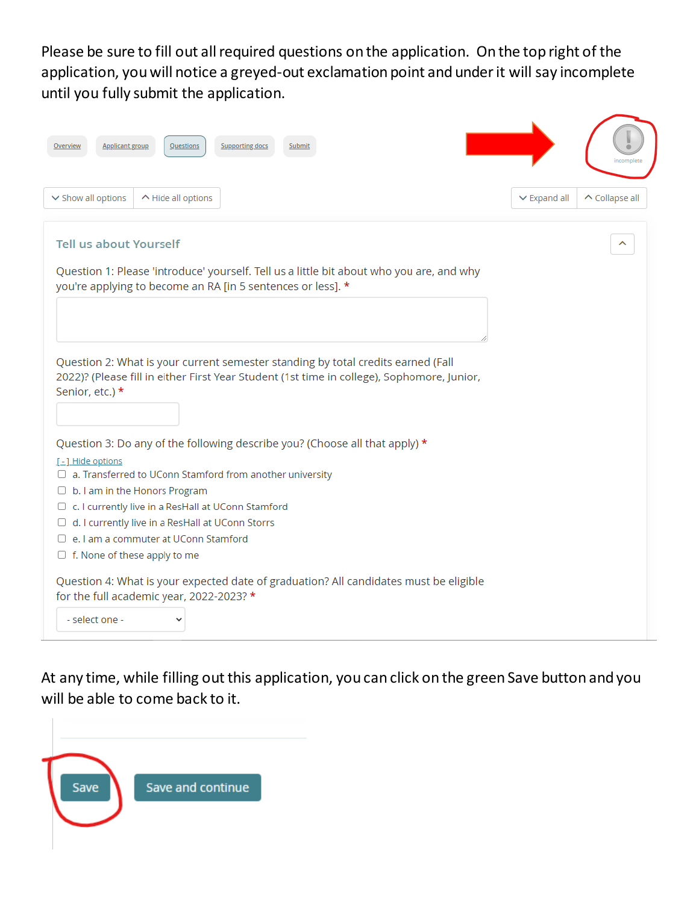Please be sure to fill out all required questions on the application. On the top right of the application, you will notice a greyed-out exclamation point and under it will say incomplete until you fully submit the application.

| Questions<br><b>Supporting docs</b><br>Applicant group<br>Submit                                                                                                                                  |                   |                       |
|---------------------------------------------------------------------------------------------------------------------------------------------------------------------------------------------------|-------------------|-----------------------|
| v Show all options<br>$\sim$ Hide all options                                                                                                                                                     | $\vee$ Expand all | $\wedge$ Collapse all |
| <b>Tell us about Yourself</b><br>Question 1: Please 'introduce' yourself. Tell us a little bit about who you are, and why<br>you're applying to become an RA [in 5 sentences or less]. *          |                   |                       |
|                                                                                                                                                                                                   |                   |                       |
| Question 2: What is your current semester standing by total credits earned (Fall<br>2022)? (Please fill in either First Year Student (1st time in college), Sophomore, Junior,<br>Senior, etc.) * |                   |                       |
| Question 3: Do any of the following describe you? (Choose all that apply) *                                                                                                                       |                   |                       |
| <u>[-] Hide options</u>                                                                                                                                                                           |                   |                       |
| $\Box$ a. Transferred to UConn Stamford from another university<br>$\Box$ b. I am in the Honors Program                                                                                           |                   |                       |
| □ c. I currently live in a ResHall at UConn Stamford                                                                                                                                              |                   |                       |
| d. I currently live in a ResHall at UConn Storrs<br>U                                                                                                                                             |                   |                       |
| $\Box$ e. I am a commuter at UConn Stamford                                                                                                                                                       |                   |                       |
| $\Box$ f. None of these apply to me                                                                                                                                                               |                   |                       |
| Question 4: What is your expected date of graduation? All candidates must be eligible<br>for the full academic year, 2022-2023? *                                                                 |                   |                       |
| - select one -                                                                                                                                                                                    |                   |                       |

At any time, while filling out this application, you can click on the green Save button and you will be able to come back to it.

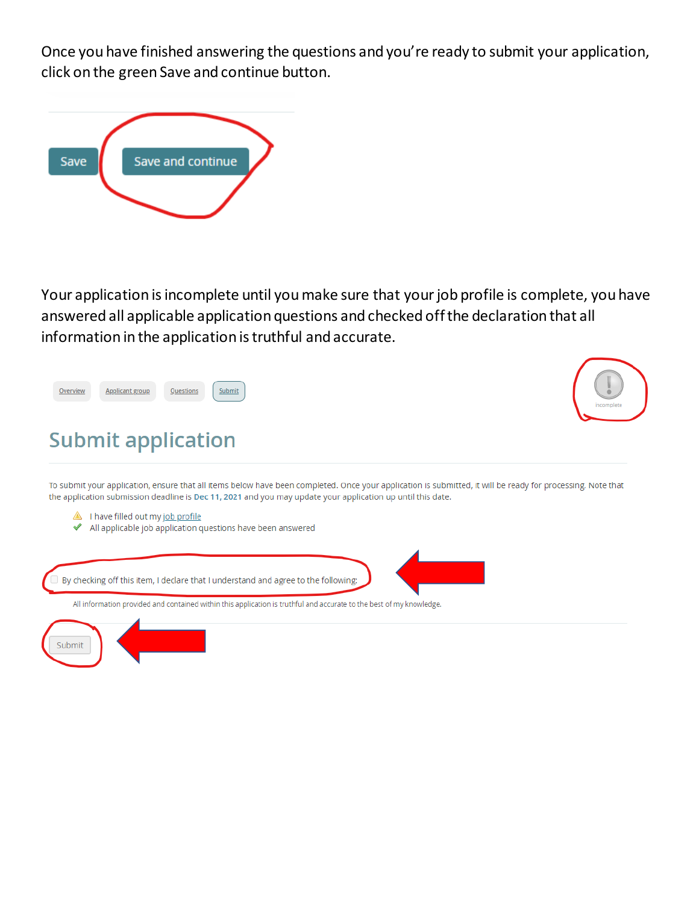Once you have finished answering the questions and you're ready to submit your application, click on the green Save and continue button.



Your application is incomplete until you make sure that your job profile is complete, you have answered all applicable application questions and checked off the declaration that all information in the application is truthful and accurate.

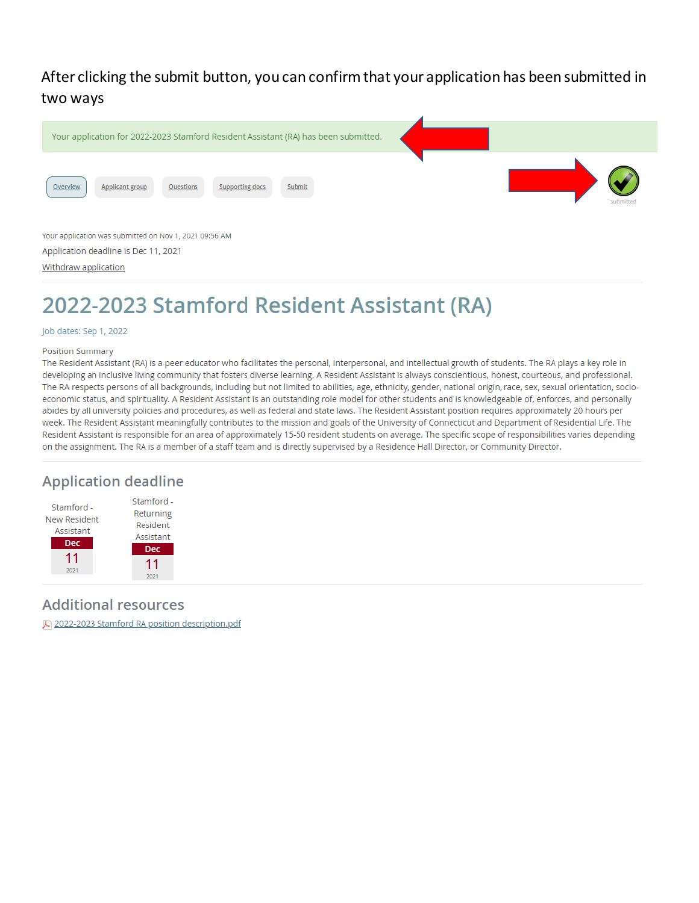## After clicking the submit button, you can confirm that your application has been submitted in two ways



# 2022-2023 Stamford Resident Assistant (RA)

### Job dates: Sep 1, 2022

#### Position Summary

The Resident Assistant (RA) is a peer educator who facilitates the personal, interpersonal, and intellectual growth of students. The RA plays a key role in developing an inclusive living community that fosters diverse learning. A Resident Assistant is always conscientious, honest, courteous, and professional. The RA respects persons of all backgrounds, including but not limited to abilities, age, ethnicity, gender, national origin, race, sex, sexual orientation, socioeconomic status, and spirituality. A Resident Assistant is an outstanding role model for other students and is knowledgeable of, enforces, and personally abides by all university policies and procedures, as well as federal and state laws. The Resident Assistant position requires approximately 20 hours per week. The Resident Assistant meaningfully contributes to the mission and goals of the University of Connecticut and Department of Residential Life. The Resident Assistant is responsible for an area of approximately 15-50 resident students on average. The specific scope of responsibilities varies depending on the assignment. The RA is a member of a staff team and is directly supervised by a Residence Hall Director, or Community Director.

## **Application deadline**



### **Additional resources**

2022-2023 Stamford RA position description.pdf